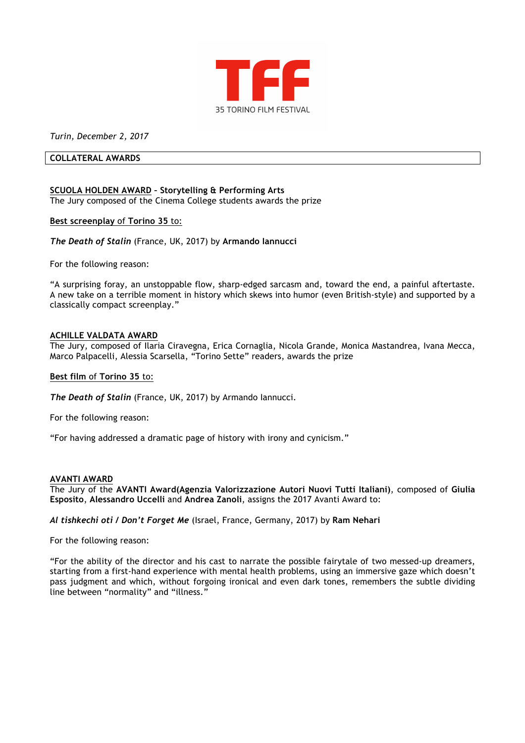

*Turin, December 2, 2017*

### **COLLATERAL AWARDS**

# **SCUOLA HOLDEN AWARD – Storytelling & Performing Arts**

The Jury composed of the Cinema College students awards the prize

## **Best screenplay** of **Torino 35** to:

*The Death of Stalin* (France, UK, 2017) by **Armando Iannucci**

For the following reason:

"A surprising foray, an unstoppable flow, sharp-edged sarcasm and, toward the end, a painful aftertaste. A new take on a terrible moment in history which skews into humor (even British-style) and supported by a classically compact screenplay."

## **ACHILLE VALDATA AWARD**

The Jury, composed of Ilaria Ciravegna, Erica Cornaglia, Nicola Grande, Monica Mastandrea, Ivana Mecca, Marco Palpacelli, Alessia Scarsella, "Torino Sette" readers, awards the prize

## **Best film** of **Torino 35** to:

*The Death of Stalin* (France, UK, 2017) by Armando Iannucci.

For the following reason:

"For having addressed a dramatic page of history with irony and cynicism."

#### **AVANTI AWARD**

The Jury of the **AVANTI Award(Agenzia Valorizzazione Autori Nuovi Tutti Italiani)**, composed of **Giulia Esposito**, **Alessandro Uccelli** and **Andrea Zanoli**, assigns the 2017 Avanti Award to:

*Al tishkechi oti / Don't Forget Me* (Israel, France, Germany, 2017) by **Ram Nehari**

For the following reason:

"For the ability of the director and his cast to narrate the possible fairytale of two messed-up dreamers, starting from a first-hand experience with mental health problems, using an immersive gaze which doesn't pass judgment and which, without forgoing ironical and even dark tones, remembers the subtle dividing line between "normality" and "illness."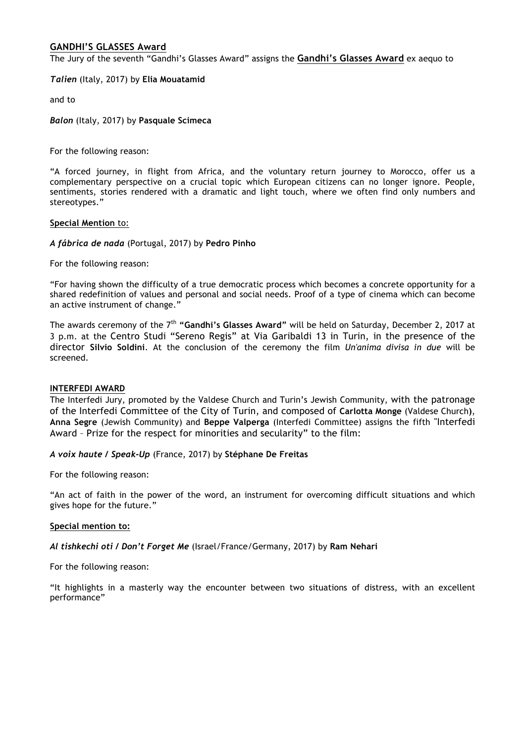# **GANDHI'S GLASSES Award**

The Jury of the seventh "Gandhi's Glasses Award" assigns the **Gandhi's Glasses Award** ex aequo to

*Talien* (Italy, 2017) by **Elia Mouatamid**

and to

*Balon* (Italy, 2017) by **Pasquale Scimeca**

For the following reason:

"A forced journey, in flight from Africa, and the voluntary return journey to Morocco, offer us a complementary perspective on a crucial topic which European citizens can no longer ignore. People, sentiments, stories rendered with a dramatic and light touch, where we often find only numbers and stereotypes."

## **Special Mention** to:

*A fábrica de nada* (Portugal, 2017) by **Pedro Pinho**

For the following reason:

"For having shown the difficulty of a true democratic process which becomes a concrete opportunity for a shared redefinition of values and personal and social needs. Proof of a type of cinema which can become an active instrument of change."

The awards ceremony of the 7<sup>th</sup> "Gandhi's Glasses Award" will be held on Saturday, December 2, 2017 at 3 p.m. at the Centro Studi "Sereno Regis" at Via Garibaldi 13 in Turin, in the presence of the director **Silvio Soldini**. At the conclusion of the ceremony the film *Un'anima divisa in due* will be screened.

## **INTERFEDI AWARD**

The Interfedi Jury, promoted by the Valdese Church and Turin's Jewish Community, with the patronage of the Interfedi Committee of the City of Turin, and composed of **Carlotta Monge** (Valdese Church**)**, **Anna Segre** (Jewish Community) and **Beppe Valperga** (Interfedi Committee) assigns the fifth "Interfedi Award – Prize for the respect for minorities and secularity" to the film:

*A voix haute / Speak-Up* (France, 2017) by **Stéphane De Freitas**

For the following reason:

"An act of faith in the power of the word, an instrument for overcoming difficult situations and which gives hope for the future."

#### **Special mention to:**

*Al tishkechi oti / Don't Forget Me* (Israel/France/Germany, 2017) by **Ram Nehari**

For the following reason:

"It highlights in a masterly way the encounter between two situations of distress, with an excellent performance"